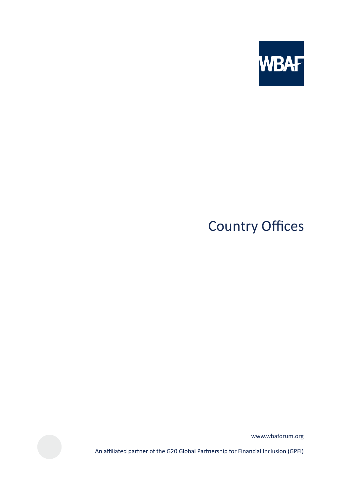

# **Country Offices**

www.wbaforum.org

An affiliated partner of the G20 Global Partnership for Financial Inclusion (GPFI)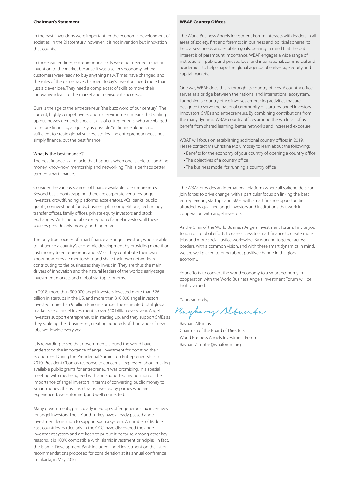#### **Chairman's Statement**

In the past, inventions were important for the economic development of societies. In the 21stcentury, however, it is not invention but innovation that counts.

In those earlier times, entrepreneurial skills were not needed to get an invention to the market because it was a seller's economy, where customers were ready to buy anything new. Times have changed, and the rules of the game have changed. Today's inventors need more than just a clever idea. They need a complex set of skills to move their innovative idea into the market and to ensure it succeeds.

Ours is the age of the entrepreneur (the buzz word of our century). The current, highly competitive economic environment means that scaling up businesses demands special skills of entrepreneurs, who are obliged to secure financing as quickly as possible.Yet finance alone is not sufficient to create global success stories. The entrepreneur needs not simply finance, but the best finance.

where the best marrest.<br>The best finance is a miracle that happens when one is able to combine money, know-how, mentorship and networking. This is perhaps better termed smart finance.

Consider the various sources of finance available to entrepreneurs: Beyond basic bootstrapping, there are corporate ventures, angel investors, crowdfunding platforms, accelerators, VCs, banks, public grants, co-investment funds, business plan competitions, technology transfer offices, family offices, private equity investors and stock exchanges. With the notable exception of angel investors, all these sources provide only money, nothing more.

The only true sources of smart finance are angel investors, who are able to influence a country's economic development by providing more than just money to entrepreneurs and SMEs. They contribute their own know-how, provide mentorship, and share their own networks in contributing to the businesses they invest in. They are thus the main drivers of innovation and the natural leaders of the world's early-stage investment markets and global startup economy.

In 2018, more than 300,000 angel investors invested more than \$26 billion in startups in the US, and more than 310,000 angel investors invested more than 9 billion Euro in Europe. The estimated total global market size of angel investment is over \$50 billion every year. Angel investors support entrepreneurs in starting up, and they support SMEs as they scale up their businesses, creating hundreds of thousands of new jobs worldwide every year.

It is rewarding to see that governments around the world have understood the importance of angel investment for boosting their economies. During the Presidential Summit on Entrepreneurship in 2010, President Obama's response to concerns I expressed about making available public grants for entrepreneurs was promising. In a special meeting with me, he agreed with and supported my position on the importance of angel investors in terms of converting public money to 'smart money', that is, cash that is invested by parties who are experienced, well-informed, and well connected.

Many governments, particularly in Europe, offer generous tax incentives for angel investors. The UK and Turkey have already passed angel investment legislation to support such a system. A number of Middle East countries, particularly in the GCC, have discovered the angel investment system and are keen to pursue it because, among other key reasons, it is 100% compatible with Islamic investment principles. In fact, the Islamic Development Bank included angel investment on the list of recommendations proposed for consideration at its annual conference in Jakarta, in May 2016.

#### **WBAF Country Offices**

The World Business Angels Investment Forum interacts with leaders in all areas of society, first and foremost in business and political spheres, to help assess needs and establish goals, bearing in mind that the public interest is of paramount importance. WBAF engages a wide range of institutions – public and private, local and international, commercial and academic – to help shape the global agenda of early-stage equity and capital markets.

One way WBAF does this is through its country offices. A country office serves as a bridge between the national and international ecosystem. Launching a country office involves embracing activities that are designed to serve the national community of startups, angel investors, innovators, SMEs and entrepreneurs. By combining contributions from the many dynamic WBAF country offices around the world, all of us benefit from shared learning, better networks and increased exposure.

WBAF will focus on establishing additional country offices in 2019. Please contact Ms Christina Mc Gimpsey to learn about the following:

- Benefits for the economy of your country of opening a country office • The objectives of a country office
- The business model for running a country office

The WBAF provides an international platform where all stakeholders can join forces to drive change, with a particular focus on linking the best entrepreneurs, startups and SMEs with smart finance opportunities afforded by qualified angel investors and institutions that work in cooperation with angel investors.

As the Chair of the World Business Angels Investment Forum, I invite you to join our global efforts to ease access to smart finance to create more jobs and more social justice worldwide. By working together across borders, with a common vision, and with these smart dynamics in mind, we are well placed to bring about positive change in the global economy.

Your efforts to convert the world economy to a smart economy in cooperation with the World Business Angels Investment Forum will be highly valued.

Yours sincerely,

Buybary Alfunta

Baybars Altuntas Chairman of the Board of Directors, World Business Angels Investment Forum Baybars.Altuntas@wbaforum.org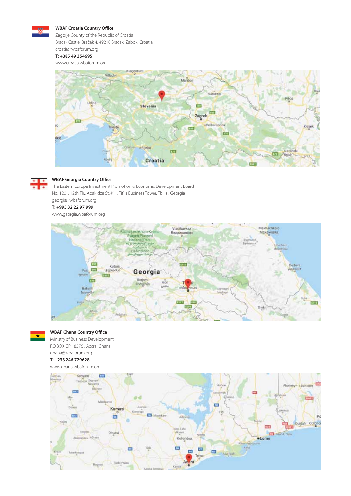

#### **WBAF Croatia Country Office**

Zagorje County of the Republic of Croatia Bracak Castle, Bračak 4, 49210 Bračak, Zabok, Croatia croatia@wbaforum.org

# **T: +385 49 354695**

www.croatia.wbaforum.org





### **WBAF Georgia Country Office**

The Eastern Europe Investment Promotion & Economic Development Board No. 1201, 12th Flr., Apakidze St. #11, Tiflis Business Tower, Tbilisi, Georgia georgia@wbaforum.org **T: +995 32 22 97 999**

www.georgia.wbaforum.org





# **WBAF Ghana Country Office**

Ministry of Business Development P.O.BOX GP 18576 , Accra, Ghana ghana@wbaforum.org

#### **T: +233 246 729628**

www.ghana.wbaforum.org

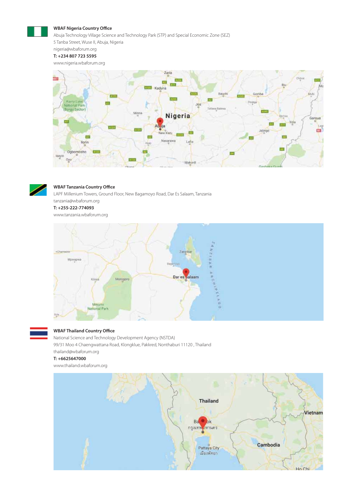#### **WBAF Nigeria Country Office**

Abuja Technology Village Science and Technology Park (STP) and Special Economic Zone (SEZ)

5 Tanba Street, Wuse II, Abuja, Nigeria

#### nigeria@wbaforum.org **T: +234 807 723 5595**

www.nigeria.wbaforum.org





## **WBAF Tanzania Country Office**

LAPF Millenium Towers, Ground Floor, New Bagamoyo Road, Dar Es Salaam, Tanzania tanzania@wbaforum.org

**T: +255-222-774093**

www.tanzania.wbaforum.org





# **WBAF Thailand Country Office**

National Science and Technology Development Agency (NSTDA) 99/31 Moo 4 Chaengwattana Road, Klongklue, Pakkred, Nonthaburi 11120 , Thailand thailand@wbaforum.org

#### **T: +6625647000**

www.thailand.wbaforum.org

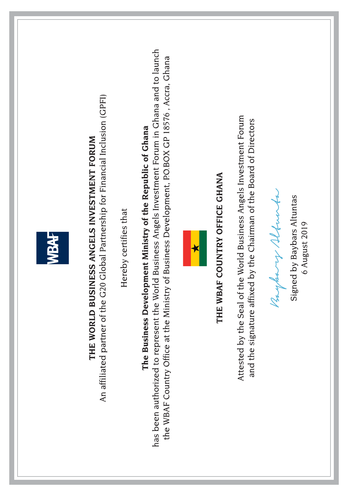